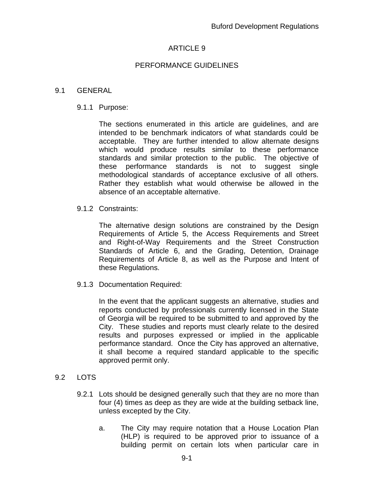# ARTICLE 9

# PERFORMANCE GUIDELINES

## 9.1 GENERAL

### 9.1.1 Purpose:

The sections enumerated in this article are guidelines, and are intended to be benchmark indicators of what standards could be acceptable. They are further intended to allow alternate designs which would produce results similar to these performance standards and similar protection to the public. The objective of these performance standards is not to suggest single methodological standards of acceptance exclusive of all others. Rather they establish what would otherwise be allowed in the absence of an acceptable alternative.

## 9.1.2 Constraints:

The alternative design solutions are constrained by the Design Requirements of Article 5, the Access Requirements and Street and Right-of-Way Requirements and the Street Construction Standards of Article 6, and the Grading, Detention, Drainage Requirements of Article 8, as well as the Purpose and Intent of these Regulations.

9.1.3 Documentation Required:

In the event that the applicant suggests an alternative, studies and reports conducted by professionals currently licensed in the State of Georgia will be required to be submitted to and approved by the City. These studies and reports must clearly relate to the desired results and purposes expressed or implied in the applicable performance standard. Once the City has approved an alternative, it shall become a required standard applicable to the specific approved permit only.

# 9.2 LOTS

- 9.2.1 Lots should be designed generally such that they are no more than four (4) times as deep as they are wide at the building setback line, unless excepted by the City.
	- a. The City may require notation that a House Location Plan (HLP) is required to be approved prior to issuance of a building permit on certain lots when particular care in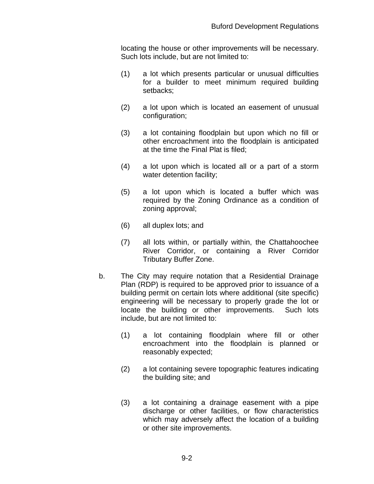locating the house or other improvements will be necessary. Such lots include, but are not limited to:

- (1) a lot which presents particular or unusual difficulties for a builder to meet minimum required building setbacks;
- (2) a lot upon which is located an easement of unusual configuration;
- (3) a lot containing floodplain but upon which no fill or other encroachment into the floodplain is anticipated at the time the Final Plat is filed;
- (4) a lot upon which is located all or a part of a storm water detention facility;
- (5) a lot upon which is located a buffer which was required by the Zoning Ordinance as a condition of zoning approval;
- (6) all duplex lots; and
- (7) all lots within, or partially within, the Chattahoochee River Corridor, or containing a River Corridor Tributary Buffer Zone.
- b. The City may require notation that a Residential Drainage Plan (RDP) is required to be approved prior to issuance of a building permit on certain lots where additional (site specific) engineering will be necessary to properly grade the lot or locate the building or other improvements. Such lots include, but are not limited to:
	- (1) a lot containing floodplain where fill or other encroachment into the floodplain is planned or reasonably expected;
	- (2) a lot containing severe topographic features indicating the building site; and
	- (3) a lot containing a drainage easement with a pipe discharge or other facilities, or flow characteristics which may adversely affect the location of a building or other site improvements.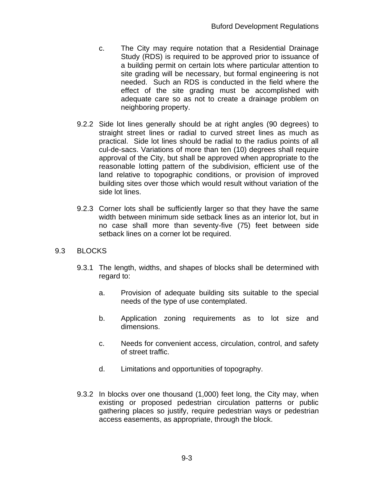- c. The City may require notation that a Residential Drainage Study (RDS) is required to be approved prior to issuance of a building permit on certain lots where particular attention to site grading will be necessary, but formal engineering is not needed. Such an RDS is conducted in the field where the effect of the site grading must be accomplished with adequate care so as not to create a drainage problem on neighboring property.
- 9.2.2 Side lot lines generally should be at right angles (90 degrees) to straight street lines or radial to curved street lines as much as practical. Side lot lines should be radial to the radius points of all cul-de-sacs. Variations of more than ten (10) degrees shall require approval of the City, but shall be approved when appropriate to the reasonable lotting pattern of the subdivision, efficient use of the land relative to topographic conditions, or provision of improved building sites over those which would result without variation of the side lot lines.
- 9.2.3 Corner lots shall be sufficiently larger so that they have the same width between minimum side setback lines as an interior lot, but in no case shall more than seventy-five (75) feet between side setback lines on a corner lot be required.

# 9.3 BLOCKS

- 9.3.1 The length, widths, and shapes of blocks shall be determined with regard to:
	- a. Provision of adequate building sits suitable to the special needs of the type of use contemplated.
	- b. Application zoning requirements as to lot size and dimensions.
	- c. Needs for convenient access, circulation, control, and safety of street traffic.
	- d. Limitations and opportunities of topography.
- 9.3.2 In blocks over one thousand (1,000) feet long, the City may, when existing or proposed pedestrian circulation patterns or public gathering places so justify, require pedestrian ways or pedestrian access easements, as appropriate, through the block.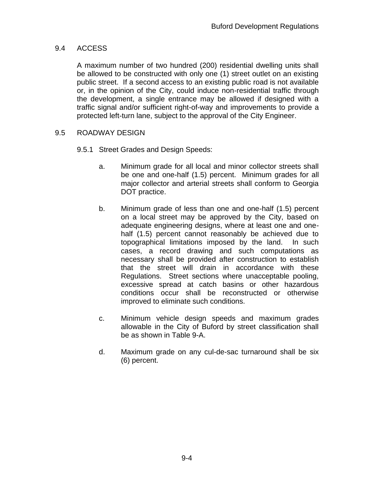# 9.4 ACCESS

A maximum number of two hundred (200) residential dwelling units shall be allowed to be constructed with only one (1) street outlet on an existing public street. If a second access to an existing public road is not available or, in the opinion of the City, could induce non-residential traffic through the development, a single entrance may be allowed if designed with a traffic signal and/or sufficient right-of-way and improvements to provide a protected left-turn lane, subject to the approval of the City Engineer.

# 9.5 ROADWAY DESIGN

- 9.5.1 Street Grades and Design Speeds:
	- a. Minimum grade for all local and minor collector streets shall be one and one-half (1.5) percent. Minimum grades for all major collector and arterial streets shall conform to Georgia DOT practice.
	- b. Minimum grade of less than one and one-half (1.5) percent on a local street may be approved by the City, based on adequate engineering designs, where at least one and onehalf (1.5) percent cannot reasonably be achieved due to topographical limitations imposed by the land. In such cases, a record drawing and such computations as necessary shall be provided after construction to establish that the street will drain in accordance with these Regulations. Street sections where unacceptable pooling, excessive spread at catch basins or other hazardous conditions occur shall be reconstructed or otherwise improved to eliminate such conditions.
	- c. Minimum vehicle design speeds and maximum grades allowable in the City of Buford by street classification shall be as shown in Table 9-A.
	- d. Maximum grade on any cul-de-sac turnaround shall be six (6) percent.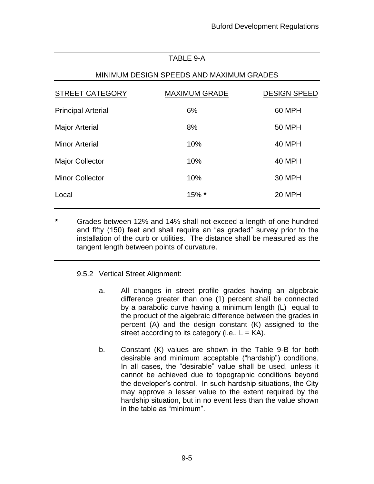# TABLE 9-A

# MINIMUM DESIGN SPEEDS AND MAXIMUM GRADES

| STREET CATEGORY           | <b>MAXIMUM GRADE</b> | <b>DESIGN SPEED</b> |
|---------------------------|----------------------|---------------------|
| <b>Principal Arterial</b> | 6%                   | 60 MPH              |
| <b>Major Arterial</b>     | 8%                   | <b>50 MPH</b>       |
| <b>Minor Arterial</b>     | 10%                  | 40 MPH              |
| <b>Major Collector</b>    | 10%                  | 40 MPH              |
| <b>Minor Collector</b>    | 10%                  | <b>30 MPH</b>       |
| Local                     | 15% *                | 20 MPH              |
|                           |                      |                     |

**\*** Grades between 12% and 14% shall not exceed a length of one hundred and fifty (150) feet and shall require an "as graded" survey prior to the installation of the curb or utilities. The distance shall be measured as the tangent length between points of curvature.

### 9.5.2 Vertical Street Alignment:

- a. All changes in street profile grades having an algebraic difference greater than one (1) percent shall be connected by a parabolic curve having a minimum length (L) equal to the product of the algebraic difference between the grades in percent (A) and the design constant (K) assigned to the street according to its category (i.e.,  $L = KA$ ).
- b. Constant (K) values are shown in the Table 9-B for both desirable and minimum acceptable ("hardship") conditions. In all cases, the "desirable" value shall be used, unless it cannot be achieved due to topographic conditions beyond the developer's control. In such hardship situations, the City may approve a lesser value to the extent required by the hardship situation, but in no event less than the value shown in the table as "minimum".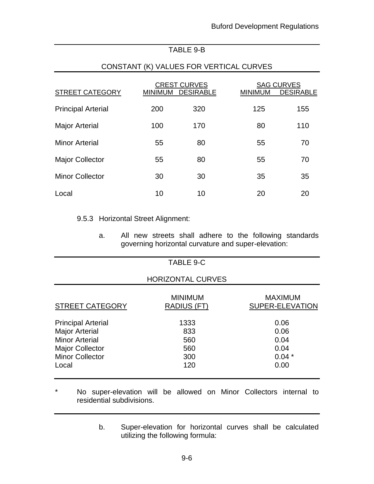# TABLE 9-B

## CONSTANT (K) VALUES FOR VERTICAL CURVES

| <b>STREET CATEGORY</b>    | <b>MINIMUM</b> | <b>CREST CURVES</b><br><b>DESIRABLE</b> | <b>MINIMUM</b> | <b>SAG CURVES</b><br><b>DESIRABLE</b> |
|---------------------------|----------------|-----------------------------------------|----------------|---------------------------------------|
| <b>Principal Arterial</b> | 200            | 320                                     | 125            | 155                                   |
| <b>Major Arterial</b>     | 100            | 170                                     | 80             | 110                                   |
| <b>Minor Arterial</b>     | 55             | 80                                      | 55             | 70                                    |
| <b>Major Collector</b>    | 55             | 80                                      | 55             | 70                                    |
| <b>Minor Collector</b>    | 30             | 30                                      | 35             | 35                                    |
| Local                     | 10             | 10                                      | 20             | 20                                    |

#### 9.5.3 Horizontal Street Alignment:

a. All new streets shall adhere to the following standards governing horizontal curvature and super-elevation:

|                                                                                                                                          | TABLE 9-C                               |                                                 |
|------------------------------------------------------------------------------------------------------------------------------------------|-----------------------------------------|-------------------------------------------------|
|                                                                                                                                          | <b>HORIZONTAL CURVES</b>                |                                                 |
| <b>STREET CATEGORY</b>                                                                                                                   | <b>MINIMUM</b><br>RADIUS (FT)           | <b>MAXIMUM</b><br>SUPER-ELEVATION               |
| <b>Principal Arterial</b><br><b>Major Arterial</b><br><b>Minor Arterial</b><br><b>Major Collector</b><br><b>Minor Collector</b><br>Local | 1333<br>833<br>560<br>560<br>300<br>120 | 0.06<br>0.06<br>0.04<br>0.04<br>$0.04*$<br>0.00 |

\* No super-elevation will be allowed on Minor Collectors internal to residential subdivisions.

> b. Super-elevation for horizontal curves shall be calculated utilizing the following formula: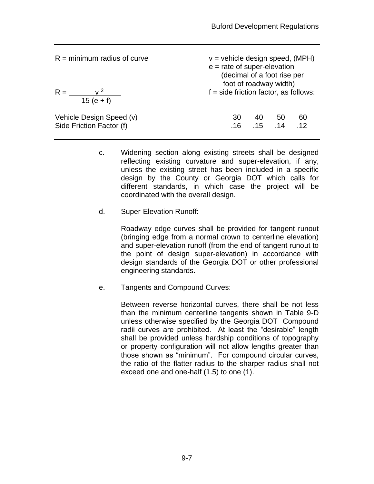| $R =$ minimum radius of curve<br>$R =$<br>$\rm v^2$<br>$15(e + f)$ | $v =$ vehicle design speed, (MPH)<br>$e$ = rate of super-elevation<br>(decimal of a foot rise per<br>foot of roadway width)<br>$f = side$ friction factor, as follows: |     |                 |    |
|--------------------------------------------------------------------|------------------------------------------------------------------------------------------------------------------------------------------------------------------------|-----|-----------------|----|
| Vehicle Design Speed (v)                                           | 30                                                                                                                                                                     | 40  | 50              | 60 |
| Side Friction Factor (f)                                           | .16                                                                                                                                                                    | .15 | $\overline{14}$ | 12 |

- c. Widening section along existing streets shall be designed reflecting existing curvature and super-elevation, if any, unless the existing street has been included in a specific design by the County or Georgia DOT which calls for different standards, in which case the project will be coordinated with the overall design.
- d. Super-Elevation Runoff:

Roadway edge curves shall be provided for tangent runout (bringing edge from a normal crown to centerline elevation) and super-elevation runoff (from the end of tangent runout to the point of design super-elevation) in accordance with design standards of the Georgia DOT or other professional engineering standards.

e. Tangents and Compound Curves:

Between reverse horizontal curves, there shall be not less than the minimum centerline tangents shown in Table 9-D unless otherwise specified by the Georgia DOT Compound radii curves are prohibited. At least the "desirable" length shall be provided unless hardship conditions of topography or property configuration will not allow lengths greater than those shown as "minimum". For compound circular curves, the ratio of the flatter radius to the sharper radius shall not exceed one and one-half (1.5) to one (1).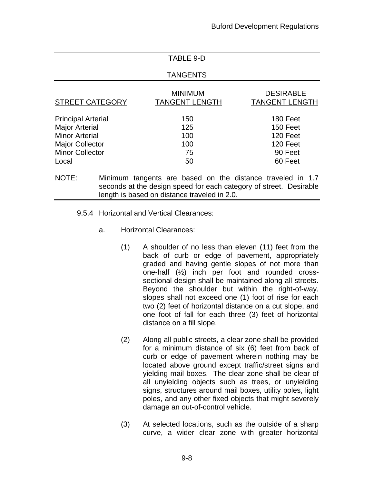### TABLE 9-D

#### TANGENTS

| <b>STREET CATEGORY</b>    | <b>MINIMUM</b><br><b>TANGENT LENGTH</b> | <b>DESIRABLE</b><br><b>TANGENT LENGTH</b> |
|---------------------------|-----------------------------------------|-------------------------------------------|
| <b>Principal Arterial</b> | 150                                     | 180 Feet                                  |
| <b>Major Arterial</b>     | 125                                     | 150 Feet                                  |
| <b>Minor Arterial</b>     | 100                                     | 120 Feet                                  |
| <b>Major Collector</b>    | 100                                     | 120 Feet                                  |
| <b>Minor Collector</b>    | 75                                      | 90 Feet                                   |
| Local                     | 50                                      | 60 Feet                                   |

NOTE: Minimum tangents are based on the distance traveled in 1.7 seconds at the design speed for each category of street. Desirable length is based on distance traveled in 2.0.

- 9.5.4 Horizontal and Vertical Clearances:
	- a. Horizontal Clearances:
		- (1) A shoulder of no less than eleven (11) feet from the back of curb or edge of pavement, appropriately graded and having gentle slopes of not more than one-half (½) inch per foot and rounded crosssectional design shall be maintained along all streets. Beyond the shoulder but within the right-of-way, slopes shall not exceed one (1) foot of rise for each two (2) feet of horizontal distance on a cut slope, and one foot of fall for each three (3) feet of horizontal distance on a fill slope.
		- (2) Along all public streets, a clear zone shall be provided for a minimum distance of six (6) feet from back of curb or edge of pavement wherein nothing may be located above ground except traffic/street signs and yielding mail boxes. The clear zone shall be clear of all unyielding objects such as trees, or unyielding signs, structures around mail boxes, utility poles, light poles, and any other fixed objects that might severely damage an out-of-control vehicle.
		- (3) At selected locations, such as the outside of a sharp curve, a wider clear zone with greater horizontal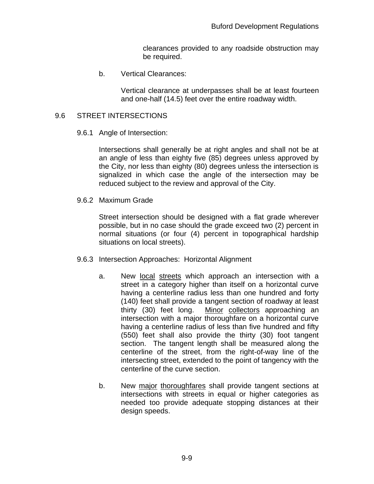clearances provided to any roadside obstruction may be required.

b. Vertical Clearances:

Vertical clearance at underpasses shall be at least fourteen and one-half (14.5) feet over the entire roadway width.

#### 9.6 STREET INTERSECTIONS

9.6.1 Angle of Intersection:

Intersections shall generally be at right angles and shall not be at an angle of less than eighty five (85) degrees unless approved by the City, nor less than eighty (80) degrees unless the intersection is signalized in which case the angle of the intersection may be reduced subject to the review and approval of the City.

9.6.2 Maximum Grade

Street intersection should be designed with a flat grade wherever possible, but in no case should the grade exceed two (2) percent in normal situations (or four (4) percent in topographical hardship situations on local streets).

- 9.6.3 Intersection Approaches: Horizontal Alignment
	- a. New local streets which approach an intersection with a street in a category higher than itself on a horizontal curve having a centerline radius less than one hundred and forty (140) feet shall provide a tangent section of roadway at least thirty (30) feet long. Minor collectors approaching an intersection with a major thoroughfare on a horizontal curve having a centerline radius of less than five hundred and fifty (550) feet shall also provide the thirty (30) foot tangent section. The tangent length shall be measured along the centerline of the street, from the right-of-way line of the intersecting street, extended to the point of tangency with the centerline of the curve section.
	- b. New major thoroughfares shall provide tangent sections at intersections with streets in equal or higher categories as needed too provide adequate stopping distances at their design speeds.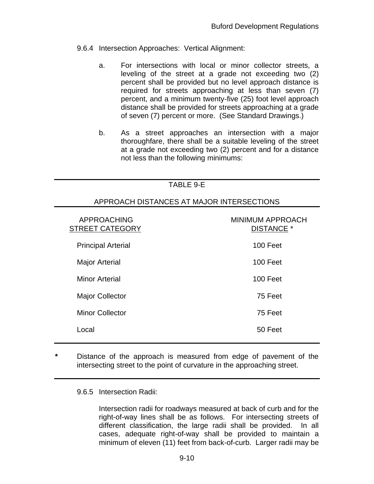- 9.6.4 Intersection Approaches: Vertical Alignment:
	- a. For intersections with local or minor collector streets, a leveling of the street at a grade not exceeding two (2) percent shall be provided but no level approach distance is required for streets approaching at less than seven (7) percent, and a minimum twenty-five (25) foot level approach distance shall be provided for streets approaching at a grade of seven (7) percent or more. (See Standard Drawings.)
	- b. As a street approaches an intersection with a major thoroughfare, there shall be a suitable leveling of the street at a grade not exceeding two (2) percent and for a distance not less than the following minimums:

| TABLE 9-E                                    |                                              |  |
|----------------------------------------------|----------------------------------------------|--|
| APPROACH DISTANCES AT MAJOR INTERSECTIONS    |                                              |  |
| <b>APPROACHING</b><br><b>STREET CATEGORY</b> | <b>MINIMUM APPROACH</b><br><b>DISTANCE *</b> |  |
| <b>Principal Arterial</b>                    | 100 Feet                                     |  |
| <b>Major Arterial</b>                        | 100 Feet                                     |  |
| <b>Minor Arterial</b>                        | 100 Feet                                     |  |
| <b>Major Collector</b>                       | 75 Feet                                      |  |
| <b>Minor Collector</b>                       | 75 Feet                                      |  |
| Local                                        | 50 Feet                                      |  |

**\*** Distance of the approach is measured from edge of pavement of the intersecting street to the point of curvature in the approaching street.

9.6.5 Intersection Radii:

Intersection radii for roadways measured at back of curb and for the right-of-way lines shall be as follows. For intersecting streets of different classification, the large radii shall be provided. In all cases, adequate right-of-way shall be provided to maintain a minimum of eleven (11) feet from back-of-curb. Larger radii may be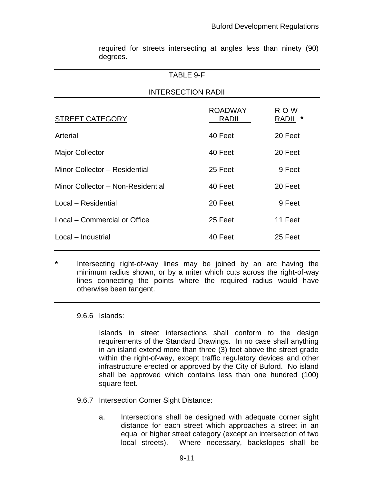| <b>TABLE 9-F</b>               |                  |  |  |
|--------------------------------|------------------|--|--|
| <b>INTERSECTION RADII</b>      |                  |  |  |
| <b>ROADWAY</b><br><b>RADII</b> | $R-O-W$<br>RADII |  |  |
| 40 Feet                        | 20 Feet          |  |  |
| 40 Feet                        | 20 Feet          |  |  |
| 25 Feet                        | 9 Feet           |  |  |
| 40 Feet                        | 20 Feet          |  |  |
| 20 Feet                        | 9 Feet           |  |  |
| 25 Feet                        | 11 Feet          |  |  |
| 40 Feet                        | 25 Feet          |  |  |
|                                |                  |  |  |

required for streets intersecting at angles less than ninety (90) degrees.

# **\*** Intersecting right-of-way lines may be joined by an arc having the minimum radius shown, or by a miter which cuts across the right-of-way lines connecting the points where the required radius would have otherwise been tangent.

9.6.6 Islands:

Islands in street intersections shall conform to the design requirements of the Standard Drawings. In no case shall anything in an island extend more than three (3) feet above the street grade within the right-of-way, except traffic regulatory devices and other infrastructure erected or approved by the City of Buford. No island shall be approved which contains less than one hundred (100) square feet.

- 9.6.7 Intersection Corner Sight Distance:
	- a. Intersections shall be designed with adequate corner sight distance for each street which approaches a street in an equal or higher street category (except an intersection of two local streets). Where necessary, backslopes shall be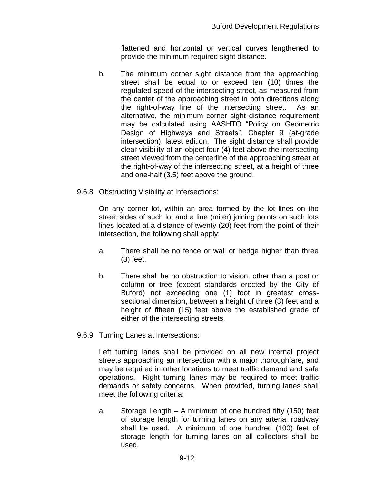flattened and horizontal or vertical curves lengthened to provide the minimum required sight distance.

- b. The minimum corner sight distance from the approaching street shall be equal to or exceed ten (10) times the regulated speed of the intersecting street, as measured from the center of the approaching street in both directions along the right-of-way line of the intersecting street. As an alternative, the minimum corner sight distance requirement may be calculated using AASHTO "Policy on Geometric Design of Highways and Streets", Chapter 9 (at-grade intersection), latest edition. The sight distance shall provide clear visibility of an object four (4) feet above the intersecting street viewed from the centerline of the approaching street at the right-of-way of the intersecting street, at a height of three and one-half (3.5) feet above the ground.
- 9.6.8 Obstructing Visibility at Intersections:

On any corner lot, within an area formed by the lot lines on the street sides of such lot and a line (miter) joining points on such lots lines located at a distance of twenty (20) feet from the point of their intersection, the following shall apply:

- a. There shall be no fence or wall or hedge higher than three (3) feet.
- b. There shall be no obstruction to vision, other than a post or column or tree (except standards erected by the City of Buford) not exceeding one (1) foot in greatest crosssectional dimension, between a height of three (3) feet and a height of fifteen (15) feet above the established grade of either of the intersecting streets.
- 9.6.9 Turning Lanes at Intersections:

Left turning lanes shall be provided on all new internal project streets approaching an intersection with a major thoroughfare, and may be required in other locations to meet traffic demand and safe operations. Right turning lanes may be required to meet traffic demands or safety concerns. When provided, turning lanes shall meet the following criteria:

a. Storage Length – A minimum of one hundred fifty (150) feet of storage length for turning lanes on any arterial roadway shall be used. A minimum of one hundred (100) feet of storage length for turning lanes on all collectors shall be used.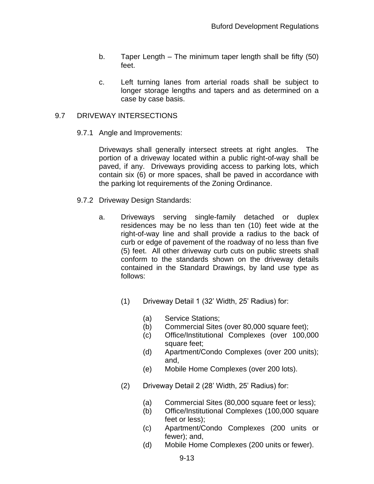- b. Taper Length The minimum taper length shall be fifty (50) feet.
- c. Left turning lanes from arterial roads shall be subject to longer storage lengths and tapers and as determined on a case by case basis.

#### 9.7 DRIVEWAY INTERSECTIONS

9.7.1 Angle and Improvements:

Driveways shall generally intersect streets at right angles. The portion of a driveway located within a public right-of-way shall be paved, if any. Driveways providing access to parking lots, which contain six (6) or more spaces, shall be paved in accordance with the parking lot requirements of the Zoning Ordinance.

- 9.7.2 Driveway Design Standards:
	- a. Driveways serving single-family detached or duplex residences may be no less than ten (10) feet wide at the right-of-way line and shall provide a radius to the back of curb or edge of pavement of the roadway of no less than five (5) feet. All other driveway curb cuts on public streets shall conform to the standards shown on the driveway details contained in the Standard Drawings, by land use type as follows:
		- (1) Driveway Detail 1 (32' Width, 25' Radius) for:
			- (a) Service Stations;
			- (b) Commercial Sites (over 80,000 square feet);
			- (c) Office/Institutional Complexes (over 100,000 square feet;
			- (d) Apartment/Condo Complexes (over 200 units); and,
			- (e) Mobile Home Complexes (over 200 lots).
		- (2) Driveway Detail 2 (28' Width, 25' Radius) for:
			- (a) Commercial Sites (80,000 square feet or less);
			- (b) Office/Institutional Complexes (100,000 square feet or less);
			- (c) Apartment/Condo Complexes (200 units or fewer); and,
			- (d) Mobile Home Complexes (200 units or fewer).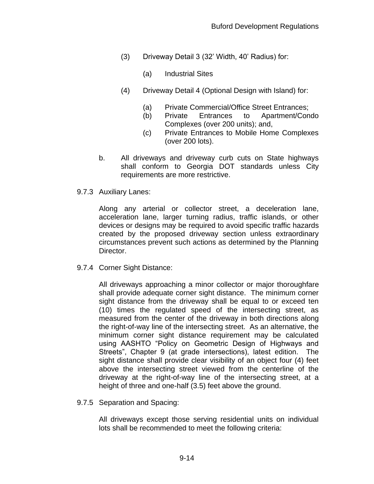- (3) Driveway Detail 3 (32' Width, 40' Radius) for:
	- (a) Industrial Sites
- (4) Driveway Detail 4 (Optional Design with Island) for:
	- (a) Private Commercial/Office Street Entrances;
	- (b) Private Entrances to Apartment/Condo Complexes (over 200 units); and,
	- (c) Private Entrances to Mobile Home Complexes (over 200 lots).
- b. All driveways and driveway curb cuts on State highways shall conform to Georgia DOT standards unless City requirements are more restrictive.
- 9.7.3 Auxiliary Lanes:

Along any arterial or collector street, a deceleration lane, acceleration lane, larger turning radius, traffic islands, or other devices or designs may be required to avoid specific traffic hazards created by the proposed driveway section unless extraordinary circumstances prevent such actions as determined by the Planning Director.

9.7.4 Corner Sight Distance:

All driveways approaching a minor collector or major thoroughfare shall provide adequate corner sight distance. The minimum corner sight distance from the driveway shall be equal to or exceed ten (10) times the regulated speed of the intersecting street, as measured from the center of the driveway in both directions along the right-of-way line of the intersecting street. As an alternative, the minimum corner sight distance requirement may be calculated using AASHTO "Policy on Geometric Design of Highways and Streets", Chapter 9 (at grade intersections), latest edition. The sight distance shall provide clear visibility of an object four (4) feet above the intersecting street viewed from the centerline of the driveway at the right-of-way line of the intersecting street, at a height of three and one-half (3.5) feet above the ground.

9.7.5 Separation and Spacing:

All driveways except those serving residential units on individual lots shall be recommended to meet the following criteria: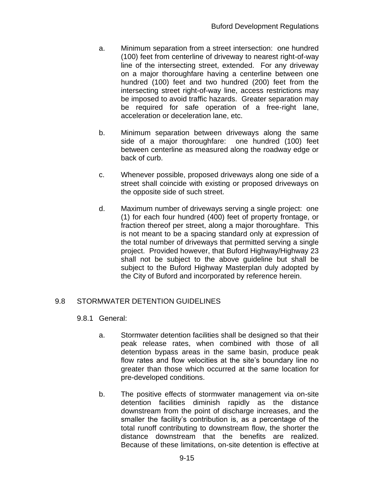- a. Minimum separation from a street intersection: one hundred (100) feet from centerline of driveway to nearest right-of-way line of the intersecting street, extended. For any driveway on a major thoroughfare having a centerline between one hundred (100) feet and two hundred (200) feet from the intersecting street right-of-way line, access restrictions may be imposed to avoid traffic hazards. Greater separation may be required for safe operation of a free-right lane, acceleration or deceleration lane, etc.
- b. Minimum separation between driveways along the same side of a major thoroughfare: one hundred (100) feet between centerline as measured along the roadway edge or back of curb.
- c. Whenever possible, proposed driveways along one side of a street shall coincide with existing or proposed driveways on the opposite side of such street.
- d. Maximum number of driveways serving a single project: one (1) for each four hundred (400) feet of property frontage, or fraction thereof per street, along a major thoroughfare. This is not meant to be a spacing standard only at expression of the total number of driveways that permitted serving a single project. Provided however, that Buford Highway/Highway 23 shall not be subject to the above guideline but shall be subject to the Buford Highway Masterplan duly adopted by the City of Buford and incorporated by reference herein.

# 9.8 STORMWATER DETENTION GUIDELINES

### 9.8.1 General:

- a. Stormwater detention facilities shall be designed so that their peak release rates, when combined with those of all detention bypass areas in the same basin, produce peak flow rates and flow velocities at the site's boundary line no greater than those which occurred at the same location for pre-developed conditions.
- b. The positive effects of stormwater management via on-site detention facilities diminish rapidly as the distance downstream from the point of discharge increases, and the smaller the facility's contribution is, as a percentage of the total runoff contributing to downstream flow, the shorter the distance downstream that the benefits are realized. Because of these limitations, on-site detention is effective at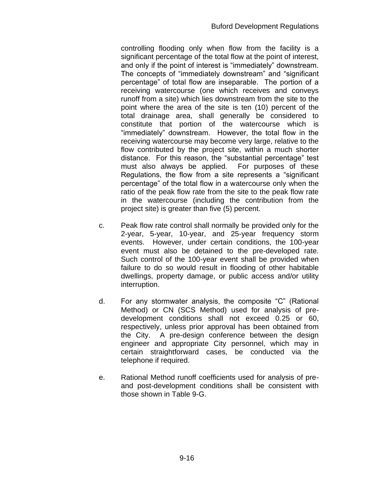controlling flooding only when flow from the facility is a significant percentage of the total flow at the point of interest, and only if the point of interest is "immediately" downstream. The concepts of "immediately downstream" and "significant percentage" of total flow are inseparable. The portion of a receiving watercourse (one which receives and conveys runoff from a site) which lies downstream from the site to the point where the area of the site is ten (10) percent of the total drainage area, shall generally be considered to constitute that portion of the watercourse which is "immediately" downstream. However, the total flow in the receiving watercourse may become very large, relative to the flow contributed by the project site, within a much shorter distance. For this reason, the "substantial percentage" test must also always be applied. For purposes of these Regulations, the flow from a site represents a "significant percentage" of the total flow in a watercourse only when the ratio of the peak flow rate from the site to the peak flow rate in the watercourse (including the contribution from the project site) is greater than five (5) percent.

- c. Peak flow rate control shall normally be provided only for the 2-year, 5-year, 10-year, and 25-year frequency storm events. However, under certain conditions, the 100-year event must also be detained to the pre-developed rate. Such control of the 100-year event shall be provided when failure to do so would result in flooding of other habitable dwellings, property damage, or public access and/or utility interruption.
- d. For any stormwater analysis, the composite "C" (Rational Method) or CN (SCS Method) used for analysis of predevelopment conditions shall not exceed 0.25 or 60, respectively, unless prior approval has been obtained from the City. A pre-design conference between the design engineer and appropriate City personnel, which may in certain straightforward cases, be conducted via the telephone if required.
- e. Rational Method runoff coefficients used for analysis of preand post-development conditions shall be consistent with those shown in Table 9-G.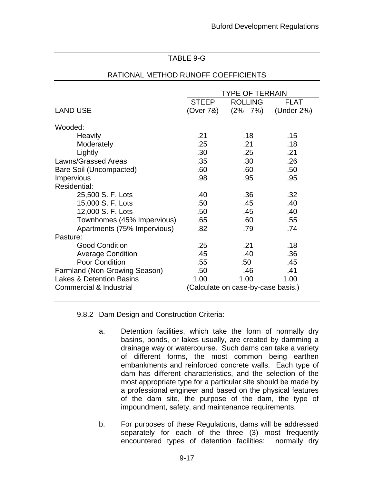### TABLE 9-G

|                                     | TYPE OF TERRAIN      |                                    |             |
|-------------------------------------|----------------------|------------------------------------|-------------|
|                                     | <b>STEEP</b>         | <b>ROLLING</b>                     | <b>FLAT</b> |
| <b>LAND USE</b>                     | <u>(Over 7&amp;)</u> | $(2\% - 7\%)$                      | (Under 2%)  |
| Wooded:                             |                      |                                    |             |
| Heavily                             | .21                  | .18                                | .15         |
| Moderately                          | .25                  | .21                                | .18         |
| Lightly                             | .30                  | .25                                | .21         |
| <b>Lawns/Grassed Areas</b>          | .35                  | .30                                | .26         |
| Bare Soil (Uncompacted)             | .60                  | .60                                | .50         |
| <b>Impervious</b>                   | .98                  | .95                                | .95         |
| Residential:                        |                      |                                    |             |
| 25,500 S. F. Lots                   | .40                  | .36                                | .32         |
| 15,000 S. F. Lots                   | .50                  | .45                                | .40         |
| 12,000 S. F. Lots                   | .50                  | .45                                | .40         |
| Townhomes (45% Impervious)          | .65                  | .60                                | .55         |
| Apartments (75% Impervious)         | .82                  | .79                                | .74         |
| Pasture:                            |                      |                                    |             |
| <b>Good Condition</b>               | .25                  | .21                                | .18         |
| <b>Average Condition</b>            | .45                  | .40                                | .36         |
| Poor Condition                      | .55                  | .50                                | .45         |
| Farmland (Non-Growing Season)       | .50                  | .46                                | .41         |
| <b>Lakes &amp; Detention Basins</b> | 1.00                 | 1.00                               | 1.00        |
| Commercial & Industrial             |                      | (Calculate on case-by-case basis.) |             |

#### RATIONAL METHOD RUNOFF COEFFICIENTS

9.8.2 Dam Design and Construction Criteria:

- a. Detention facilities, which take the form of normally dry basins, ponds, or lakes usually, are created by damming a drainage way or watercourse. Such dams can take a variety of different forms, the most common being earthen embankments and reinforced concrete walls. Each type of dam has different characteristics, and the selection of the most appropriate type for a particular site should be made by a professional engineer and based on the physical features of the dam site, the purpose of the dam, the type of impoundment, safety, and maintenance requirements.
- b. For purposes of these Regulations, dams will be addressed separately for each of the three (3) most frequently encountered types of detention facilities: normally dry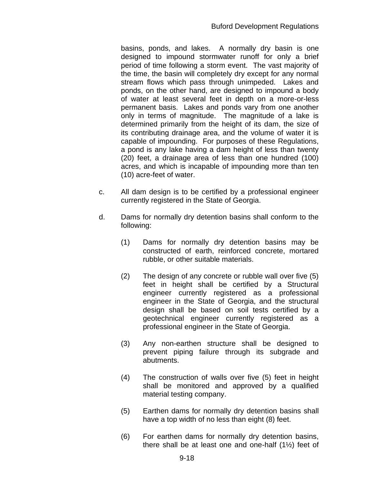basins, ponds, and lakes. A normally dry basin is one designed to impound stormwater runoff for only a brief period of time following a storm event. The vast majority of the time, the basin will completely dry except for any normal stream flows which pass through unimpeded. Lakes and ponds, on the other hand, are designed to impound a body of water at least several feet in depth on a more-or-less permanent basis. Lakes and ponds vary from one another only in terms of magnitude. The magnitude of a lake is determined primarily from the height of its dam, the size of its contributing drainage area, and the volume of water it is capable of impounding. For purposes of these Regulations, a pond is any lake having a dam height of less than twenty (20) feet, a drainage area of less than one hundred (100) acres, and which is incapable of impounding more than ten (10) acre-feet of water.

- c. All dam design is to be certified by a professional engineer currently registered in the State of Georgia.
- d. Dams for normally dry detention basins shall conform to the following:
	- (1) Dams for normally dry detention basins may be constructed of earth, reinforced concrete, mortared rubble, or other suitable materials.
	- (2) The design of any concrete or rubble wall over five (5) feet in height shall be certified by a Structural engineer currently registered as a professional engineer in the State of Georgia, and the structural design shall be based on soil tests certified by a geotechnical engineer currently registered as a professional engineer in the State of Georgia.
	- (3) Any non-earthen structure shall be designed to prevent piping failure through its subgrade and abutments.
	- (4) The construction of walls over five (5) feet in height shall be monitored and approved by a qualified material testing company.
	- (5) Earthen dams for normally dry detention basins shall have a top width of no less than eight (8) feet.
	- (6) For earthen dams for normally dry detention basins, there shall be at least one and one-half (1½) feet of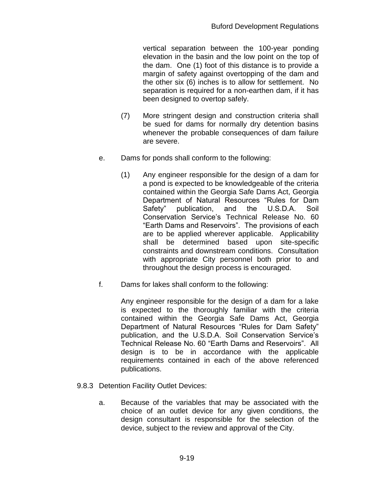vertical separation between the 100-year ponding elevation in the basin and the low point on the top of the dam. One (1) foot of this distance is to provide a margin of safety against overtopping of the dam and the other six (6) inches is to allow for settlement. No separation is required for a non-earthen dam, if it has been designed to overtop safely.

- (7) More stringent design and construction criteria shall be sued for dams for normally dry detention basins whenever the probable consequences of dam failure are severe.
- e. Dams for ponds shall conform to the following:
	- (1) Any engineer responsible for the design of a dam for a pond is expected to be knowledgeable of the criteria contained within the Georgia Safe Dams Act, Georgia Department of Natural Resources "Rules for Dam Safety" publication, and the U.S.D.A. Soil Conservation Service's Technical Release No. 60 "Earth Dams and Reservoirs". The provisions of each are to be applied wherever applicable. Applicability shall be determined based upon site-specific constraints and downstream conditions. Consultation with appropriate City personnel both prior to and throughout the design process is encouraged.
- f. Dams for lakes shall conform to the following:

Any engineer responsible for the design of a dam for a lake is expected to the thoroughly familiar with the criteria contained within the Georgia Safe Dams Act, Georgia Department of Natural Resources "Rules for Dam Safety" publication, and the U.S.D.A. Soil Conservation Service's Technical Release No. 60 "Earth Dams and Reservoirs". All design is to be in accordance with the applicable requirements contained in each of the above referenced publications.

- 9.8.3 Detention Facility Outlet Devices:
	- a. Because of the variables that may be associated with the choice of an outlet device for any given conditions, the design consultant is responsible for the selection of the device, subject to the review and approval of the City.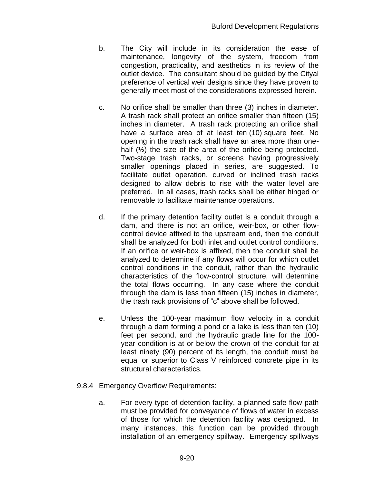- b. The City will include in its consideration the ease of maintenance, longevity of the system, freedom from congestion, practicality, and aesthetics in its review of the outlet device. The consultant should be guided by the Cityal preference of vertical weir designs since they have proven to generally meet most of the considerations expressed herein.
- c. No orifice shall be smaller than three (3) inches in diameter. A trash rack shall protect an orifice smaller than fifteen (15) inches in diameter. A trash rack protecting an orifice shall have a surface area of at least ten (10) square feet. No opening in the trash rack shall have an area more than onehalf ( $\frac{1}{2}$ ) the size of the area of the orifice being protected. Two-stage trash racks, or screens having progressively smaller openings placed in series, are suggested. To facilitate outlet operation, curved or inclined trash racks designed to allow debris to rise with the water level are preferred. In all cases, trash racks shall be either hinged or removable to facilitate maintenance operations.
- d. If the primary detention facility outlet is a conduit through a dam, and there is not an orifice, weir-box, or other flowcontrol device affixed to the upstream end, then the conduit shall be analyzed for both inlet and outlet control conditions. If an orifice or weir-box is affixed, then the conduit shall be analyzed to determine if any flows will occur for which outlet control conditions in the conduit, rather than the hydraulic characteristics of the flow-control structure, will determine the total flows occurring. In any case where the conduit through the dam is less than fifteen (15) inches in diameter, the trash rack provisions of "c" above shall be followed.
- e. Unless the 100-year maximum flow velocity in a conduit through a dam forming a pond or a lake is less than ten (10) feet per second, and the hydraulic grade line for the 100 year condition is at or below the crown of the conduit for at least ninety (90) percent of its length, the conduit must be equal or superior to Class V reinforced concrete pipe in its structural characteristics.
- 9.8.4 Emergency Overflow Requirements:
	- a. For every type of detention facility, a planned safe flow path must be provided for conveyance of flows of water in excess of those for which the detention facility was designed. In many instances, this function can be provided through installation of an emergency spillway. Emergency spillways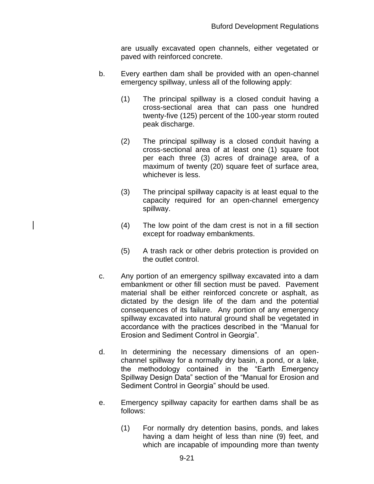are usually excavated open channels, either vegetated or paved with reinforced concrete.

- b. Every earthen dam shall be provided with an open-channel emergency spillway, unless all of the following apply:
	- (1) The principal spillway is a closed conduit having a cross-sectional area that can pass one hundred twenty-five (125) percent of the 100-year storm routed peak discharge.
	- (2) The principal spillway is a closed conduit having a cross-sectional area of at least one (1) square foot per each three (3) acres of drainage area, of a maximum of twenty (20) square feet of surface area, whichever is less.
	- (3) The principal spillway capacity is at least equal to the capacity required for an open-channel emergency spillway.
	- (4) The low point of the dam crest is not in a fill section except for roadway embankments.
	- (5) A trash rack or other debris protection is provided on the outlet control.
- c. Any portion of an emergency spillway excavated into a dam embankment or other fill section must be paved. Pavement material shall be either reinforced concrete or asphalt, as dictated by the design life of the dam and the potential consequences of its failure. Any portion of any emergency spillway excavated into natural ground shall be vegetated in accordance with the practices described in the "Manual for Erosion and Sediment Control in Georgia".
- d. In determining the necessary dimensions of an openchannel spillway for a normally dry basin, a pond, or a lake, the methodology contained in the "Earth Emergency Spillway Design Data" section of the "Manual for Erosion and Sediment Control in Georgia" should be used.
- e. Emergency spillway capacity for earthen dams shall be as follows:
	- (1) For normally dry detention basins, ponds, and lakes having a dam height of less than nine (9) feet, and which are incapable of impounding more than twenty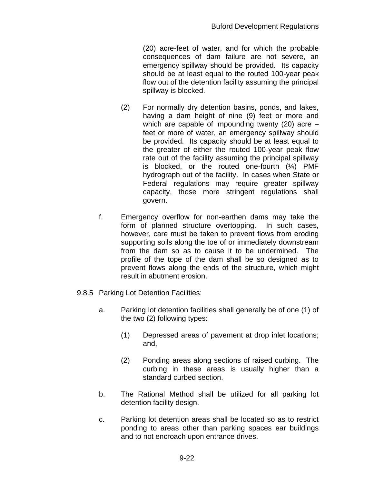(20) acre-feet of water, and for which the probable consequences of dam failure are not severe, an emergency spillway should be provided. Its capacity should be at least equal to the routed 100-year peak flow out of the detention facility assuming the principal spillway is blocked.

- (2) For normally dry detention basins, ponds, and lakes, having a dam height of nine (9) feet or more and which are capable of impounding twenty (20) acre – feet or more of water, an emergency spillway should be provided. Its capacity should be at least equal to the greater of either the routed 100-year peak flow rate out of the facility assuming the principal spillway is blocked, or the routed one-fourth  $(\frac{1}{4})$  PMF hydrograph out of the facility. In cases when State or Federal regulations may require greater spillway capacity, those more stringent regulations shall govern.
- f. Emergency overflow for non-earthen dams may take the form of planned structure overtopping. In such cases, however, care must be taken to prevent flows from eroding supporting soils along the toe of or immediately downstream from the dam so as to cause it to be undermined. The profile of the tope of the dam shall be so designed as to prevent flows along the ends of the structure, which might result in abutment erosion.
- 9.8.5 Parking Lot Detention Facilities:
	- a. Parking lot detention facilities shall generally be of one (1) of the two (2) following types:
		- (1) Depressed areas of pavement at drop inlet locations; and,
		- (2) Ponding areas along sections of raised curbing. The curbing in these areas is usually higher than a standard curbed section.
	- b. The Rational Method shall be utilized for all parking lot detention facility design.
	- c. Parking lot detention areas shall be located so as to restrict ponding to areas other than parking spaces ear buildings and to not encroach upon entrance drives.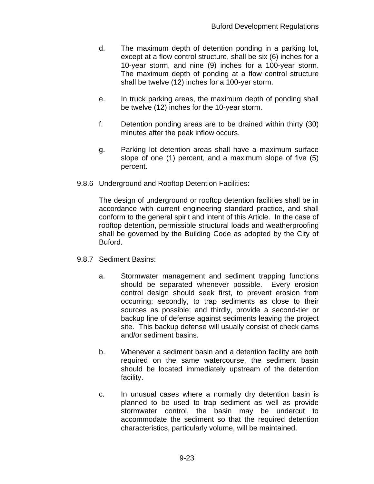- d. The maximum depth of detention ponding in a parking lot, except at a flow control structure, shall be six (6) inches for a 10-year storm, and nine (9) inches for a 100-year storm. The maximum depth of ponding at a flow control structure shall be twelve (12) inches for a 100-yer storm.
- e. In truck parking areas, the maximum depth of ponding shall be twelve (12) inches for the 10-year storm.
- f. Detention ponding areas are to be drained within thirty (30) minutes after the peak inflow occurs.
- g. Parking lot detention areas shall have a maximum surface slope of one (1) percent, and a maximum slope of five (5) percent.
- 9.8.6 Underground and Rooftop Detention Facilities:

The design of underground or rooftop detention facilities shall be in accordance with current engineering standard practice, and shall conform to the general spirit and intent of this Article. In the case of rooftop detention, permissible structural loads and weatherproofing shall be governed by the Building Code as adopted by the City of Buford.

- 9.8.7 Sediment Basins:
	- a. Stormwater management and sediment trapping functions should be separated whenever possible. Every erosion control design should seek first, to prevent erosion from occurring; secondly, to trap sediments as close to their sources as possible; and thirdly, provide a second-tier or backup line of defense against sediments leaving the project site. This backup defense will usually consist of check dams and/or sediment basins.
	- b. Whenever a sediment basin and a detention facility are both required on the same watercourse, the sediment basin should be located immediately upstream of the detention facility.
	- c. In unusual cases where a normally dry detention basin is planned to be used to trap sediment as well as provide stormwater control, the basin may be undercut to accommodate the sediment so that the required detention characteristics, particularly volume, will be maintained.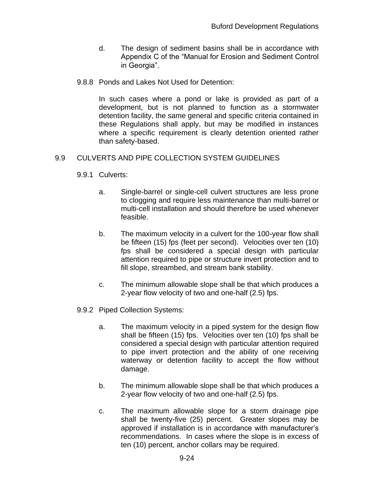- d. The design of sediment basins shall be in accordance with Appendix C of the "Manual for Erosion and Sediment Control in Georgia".
- 9.8.8 Ponds and Lakes Not Used for Detention:

In such cases where a pond or lake is provided as part of a development, but is not planned to function as a stormwater detention facility, the same general and specific criteria contained in these Regulations shall apply, but may be modified in instances where a specific requirement is clearly detention oriented rather than safety-based.

# 9.9 CULVERTS AND PIPE COLLECTION SYSTEM GUIDELINES

- 9.9.1 Culverts:
	- a. Single-barrel or single-cell culvert structures are less prone to clogging and require less maintenance than multi-barrel or multi-cell installation and should therefore be used whenever feasible.
	- b. The maximum velocity in a culvert for the 100-year flow shall be fifteen (15) fps (feet per second). Velocities over ten (10) fps shall be considered a special design with particular attention required to pipe or structure invert protection and to fill slope, streambed, and stream bank stability.
	- c. The minimum allowable slope shall be that which produces a 2-year flow velocity of two and one-half (2.5) fps.
- 9.9.2 Piped Collection Systems:
	- a. The maximum velocity in a piped system for the design flow shall be fifteen (15) fps. Velocities over ten (10) fps shall be considered a special design with particular attention required to pipe invert protection and the ability of one receiving waterway or detention facility to accept the flow without damage.
	- b. The minimum allowable slope shall be that which produces a 2-year flow velocity of two and one-half (2.5) fps.
	- c. The maximum allowable slope for a storm drainage pipe shall be twenty-five (25) percent. Greater slopes may be approved if installation is in accordance with manufacturer's recommendations. In cases where the slope is in excess of ten (10) percent, anchor collars may be required.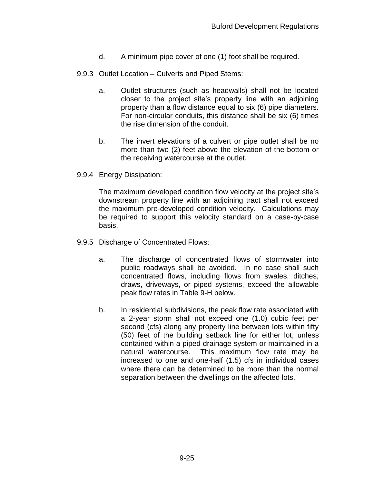- d. A minimum pipe cover of one (1) foot shall be required.
- 9.9.3 Outlet Location Culverts and Piped Stems:
	- a. Outlet structures (such as headwalls) shall not be located closer to the project site's property line with an adjoining property than a flow distance equal to six (6) pipe diameters. For non-circular conduits, this distance shall be six (6) times the rise dimension of the conduit.
	- b. The invert elevations of a culvert or pipe outlet shall be no more than two (2) feet above the elevation of the bottom or the receiving watercourse at the outlet.
- 9.9.4 Energy Dissipation:

The maximum developed condition flow velocity at the project site's downstream property line with an adjoining tract shall not exceed the maximum pre-developed condition velocity. Calculations may be required to support this velocity standard on a case-by-case basis.

- 9.9.5 Discharge of Concentrated Flows:
	- a. The discharge of concentrated flows of stormwater into public roadways shall be avoided. In no case shall such concentrated flows, including flows from swales, ditches, draws, driveways, or piped systems, exceed the allowable peak flow rates in Table 9-H below.
	- b. In residential subdivisions, the peak flow rate associated with a 2-year storm shall not exceed one (1.0) cubic feet per second (cfs) along any property line between lots within fifty (50) feet of the building setback line for either lot, unless contained within a piped drainage system or maintained in a natural watercourse. This maximum flow rate may be increased to one and one-half (1.5) cfs in individual cases where there can be determined to be more than the normal separation between the dwellings on the affected lots.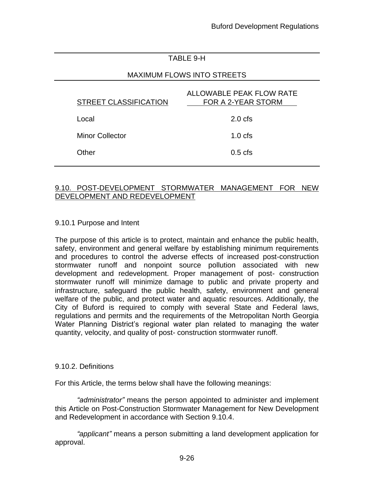# TABLE 9-H

## MAXIMUM FLOWS INTO STREETS

| <b>STREET CLASSIFICATION</b> | ALLOWABLE PEAK FLOW RATE<br>FOR A 2-YEAR STORM |
|------------------------------|------------------------------------------------|
| Local                        | $2.0 \text{ cfs}$                              |
| <b>Minor Collector</b>       | $1.0 \text{ cfs}$                              |
| Other                        | $0.5$ cfs                                      |

#### 9.10. POST-DEVELOPMENT STORMWATER MANAGEMENT FOR NEW DEVELOPMENT AND REDEVELOPMENT

#### 9.10.1 Purpose and Intent

The purpose of this article is to protect, maintain and enhance the public health, safety, environment and general welfare by establishing minimum requirements and procedures to control the adverse effects of increased post-construction stormwater runoff and nonpoint source pollution associated with new development and redevelopment. Proper management of post- construction stormwater runoff will minimize damage to public and private property and infrastructure, safeguard the public health, safety, environment and general welfare of the public, and protect water and aquatic resources. Additionally, the City of Buford is required to comply with several State and Federal laws, regulations and permits and the requirements of the Metropolitan North Georgia Water Planning District's regional water plan related to managing the water quantity, velocity, and quality of post- construction stormwater runoff.

#### 9.10.2. Definitions

For this Article, the terms below shall have the following meanings:

*"administrator"* means the person appointed to administer and implement this Article on Post-Construction Stormwater Management for New Development and Redevelopment in accordance with Section 9.10.4.

*"applicant"* means a person submitting a land development application for approval.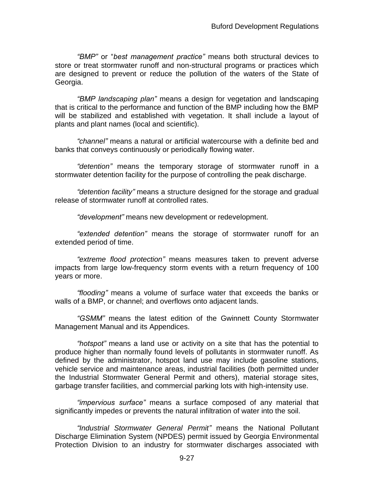*"BMP"* or "*best management practice"* means both structural devices to store or treat stormwater runoff and non-structural programs or practices which are designed to prevent or reduce the pollution of the waters of the State of Georgia.

*"BMP landscaping plan"* means a design for vegetation and landscaping that is critical to the performance and function of the BMP including how the BMP will be stabilized and established with vegetation. It shall include a layout of plants and plant names (local and scientific).

*"channel"* means a natural or artificial watercourse with a definite bed and banks that conveys continuously or periodically flowing water.

*"detention"* means the temporary storage of stormwater runoff in a stormwater detention facility for the purpose of controlling the peak discharge.

*"detention facility"* means a structure designed for the storage and gradual release of stormwater runoff at controlled rates.

*"development"* means new development or redevelopment.

*"extended detention"* means the storage of stormwater runoff for an extended period of time.

*"extreme flood protection"* means measures taken to prevent adverse impacts from large low-frequency storm events with a return frequency of 100 years or more.

*"flooding"* means a volume of surface water that exceeds the banks or walls of a BMP, or channel; and overflows onto adjacent lands.

*"GSMM"* means the latest edition of the Gwinnett County Stormwater Management Manual and its Appendices.

*"hotspot"* means a land use or activity on a site that has the potential to produce higher than normally found levels of pollutants in stormwater runoff. As defined by the administrator, hotspot land use may include gasoline stations, vehicle service and maintenance areas, industrial facilities (both permitted under the Industrial Stormwater General Permit and others), material storage sites, garbage transfer facilities, and commercial parking lots with high-intensity use.

*"impervious surface"* means a surface composed of any material that significantly impedes or prevents the natural infiltration of water into the soil.

*"Industrial Stormwater General Permit"* means the National Pollutant Discharge Elimination System (NPDES) permit issued by Georgia Environmental Protection Division to an industry for stormwater discharges associated with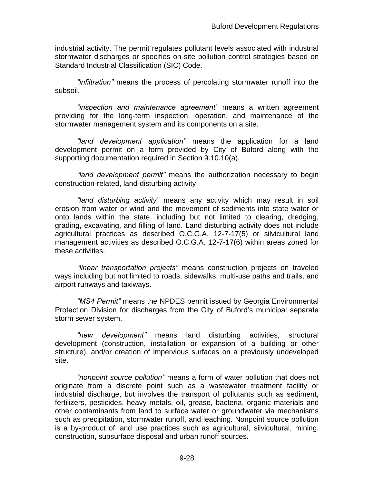industrial activity. The permit regulates pollutant levels associated with industrial stormwater discharges or specifies on-site pollution control strategies based on Standard Industrial Classification (SIC) Code.

*"infiltration"* means the process of percolating stormwater runoff into the subsoil.

*"inspection and maintenance agreement"* means a written agreement providing for the long-term inspection, operation, and maintenance of the stormwater management system and its components on a site.

*"land development application"* means the application for a land development permit on a form provided by City of Buford along with the supporting documentation required in Section 9.10.10(a).

*"land development permit"* means the authorization necessary to begin construction-related, land-disturbing activity

*"land disturbing activity"* means any activity which may result in soil erosion from water or wind and the movement of sediments into state water or onto lands within the state, including but not limited to clearing, dredging, grading, excavating, and filling of land. Land disturbing activity does not include agricultural practices as described O.C.G.A. 12-7-17(5) or silvicultural land management activities as described O.C.G.A. 12-7-17(6) within areas zoned for these activities.

*"linear transportation projects"* means construction projects on traveled ways including but not limited to roads, sidewalks, multi-use paths and trails, and airport runways and taxiways.

*"MS4 Permit"* means the NPDES permit issued by Georgia Environmental Protection Division for discharges from the City of Buford's municipal separate storm sewer system.

*"new development"* means land disturbing activities, structural development (construction, installation or expansion of a building or other structure), and/or creation of impervious surfaces on a previously undeveloped site.

*"nonpoint source pollution"* means a form of water pollution that does not originate from a discrete point such as a wastewater treatment facility or industrial discharge, but involves the transport of pollutants such as sediment, fertilizers, pesticides, heavy metals, oil, grease, bacteria, organic materials and other contaminants from land to surface water or groundwater via mechanisms such as precipitation, stormwater runoff, and leaching. Nonpoint source pollution is a by-product of land use practices such as agricultural, silvicultural, mining, construction, subsurface disposal and urban runoff sources.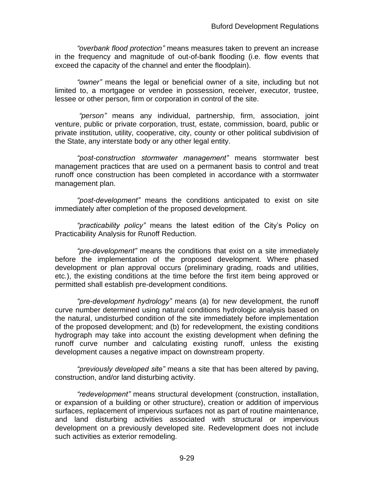*"overbank flood protection"* means measures taken to prevent an increase in the frequency and magnitude of out-of-bank flooding (i.e. flow events that exceed the capacity of the channel and enter the floodplain).

*"owner"* means the legal or beneficial owner of a site, including but not limited to, a mortgagee or vendee in possession, receiver, executor, trustee, lessee or other person, firm or corporation in control of the site.

*"person"* means any individual, partnership, firm, association, joint venture, public or private corporation, trust, estate, commission, board, public or private institution, utility, cooperative, city, county or other political subdivision of the State, any interstate body or any other legal entity.

*"post-construction stormwater management"* means stormwater best management practices that are used on a permanent basis to control and treat runoff once construction has been completed in accordance with a stormwater management plan.

*"post-development"* means the conditions anticipated to exist on site immediately after completion of the proposed development.

*"practicability policy"* means the latest edition of the City's Policy on Practicability Analysis for Runoff Reduction.

*"pre-development"* means the conditions that exist on a site immediately before the implementation of the proposed development. Where phased development or plan approval occurs (preliminary grading, roads and utilities, etc.), the existing conditions at the time before the first item being approved or permitted shall establish pre-development conditions.

*"pre-development hydrology"* means (a) for new development, the runoff curve number determined using natural conditions hydrologic analysis based on the natural, undisturbed condition of the site immediately before implementation of the proposed development; and (b) for redevelopment, the existing conditions hydrograph may take into account the existing development when defining the runoff curve number and calculating existing runoff, unless the existing development causes a negative impact on downstream property.

*"previously developed site"* means a site that has been altered by paving, construction, and/or land disturbing activity.

*"redevelopment"* means structural development (construction, installation, or expansion of a building or other structure), creation or addition of impervious surfaces, replacement of impervious surfaces not as part of routine maintenance, and land disturbing activities associated with structural or impervious development on a previously developed site. Redevelopment does not include such activities as exterior remodeling.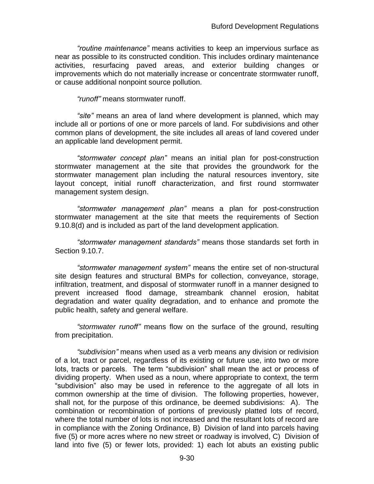*"routine maintenance"* means activities to keep an impervious surface as near as possible to its constructed condition. This includes ordinary maintenance activities, resurfacing paved areas, and exterior building changes or improvements which do not materially increase or concentrate stormwater runoff, or cause additional nonpoint source pollution.

*"runoff"* means stormwater runoff.

*"site"* means an area of land where development is planned, which may include all or portions of one or more parcels of land. For subdivisions and other common plans of development, the site includes all areas of land covered under an applicable land development permit.

*"stormwater concept plan"* means an initial plan for post-construction stormwater management at the site that provides the groundwork for the stormwater management plan including the natural resources inventory, site layout concept, initial runoff characterization, and first round stormwater management system design.

*"stormwater management plan"* means a plan for post-construction stormwater management at the site that meets the requirements of Section 9.10.8(d) and is included as part of the land development application.

*"stormwater management standards"* means those standards set forth in Section 9.10.7.

*"stormwater management system"* means the entire set of non-structural site design features and structural BMPs for collection, conveyance, storage, infiltration, treatment, and disposal of stormwater runoff in a manner designed to prevent increased flood damage, streambank channel erosion, habitat degradation and water quality degradation, and to enhance and promote the public health, safety and general welfare.

*"stormwater runoff"* means flow on the surface of the ground, resulting from precipitation.

*"subdivision"* means when used as a verb means any division or redivision of a lot, tract or parcel, regardless of its existing or future use, into two or more lots, tracts or parcels. The term "subdivision" shall mean the act or process of dividing property. When used as a noun, where appropriate to context, the term "subdivision" also may be used in reference to the aggregate of all lots in common ownership at the time of division. The following properties, however, shall not, for the purpose of this ordinance, be deemed subdivisions: A). The combination or recombination of portions of previously platted lots of record, where the total number of lots is not increased and the resultant lots of record are in compliance with the Zoning Ordinance, B) Division of land into parcels having five (5) or more acres where no new street or roadway is involved, C) Division of land into five (5) or fewer lots, provided: 1) each lot abuts an existing public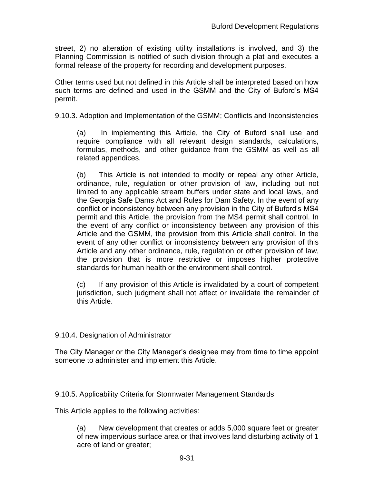street, 2) no alteration of existing utility installations is involved, and 3) the Planning Commission is notified of such division through a plat and executes a formal release of the property for recording and development purposes.

Other terms used but not defined in this Article shall be interpreted based on how such terms are defined and used in the GSMM and the City of Buford's MS4 permit.

9.10.3. Adoption and Implementation of the GSMM; Conflicts and Inconsistencies

(a) In implementing this Article, the City of Buford shall use and require compliance with all relevant design standards, calculations, formulas, methods, and other guidance from the GSMM as well as all related appendices.

(b) This Article is not intended to modify or repeal any other Article, ordinance, rule, regulation or other provision of law, including but not limited to any applicable stream buffers under state and local laws, and the Georgia Safe Dams Act and Rules for Dam Safety. In the event of any conflict or inconsistency between any provision in the City of Buford's MS4 permit and this Article, the provision from the MS4 permit shall control. In the event of any conflict or inconsistency between any provision of this Article and the GSMM, the provision from this Article shall control. In the event of any other conflict or inconsistency between any provision of this Article and any other ordinance, rule, regulation or other provision of law, the provision that is more restrictive or imposes higher protective standards for human health or the environment shall control.

(c) If any provision of this Article is invalidated by a court of competent jurisdiction, such judgment shall not affect or invalidate the remainder of this Article.

### 9.10.4. Designation of Administrator

The City Manager or the City Manager's designee may from time to time appoint someone to administer and implement this Article.

9.10.5. Applicability Criteria for Stormwater Management Standards

This Article applies to the following activities:

(a) New development that creates or adds 5,000 square feet or greater of new impervious surface area or that involves land disturbing activity of 1 acre of land or greater;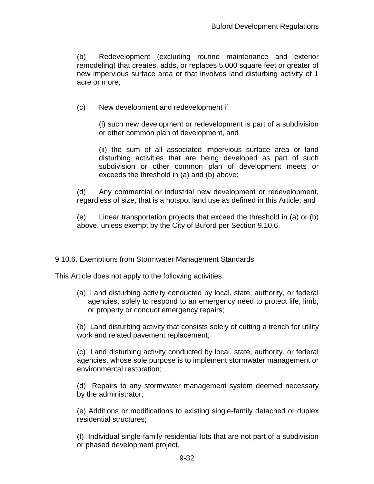(b) Redevelopment (excluding routine maintenance and exterior remodeling) that creates, adds, or replaces 5,000 square feet or greater of new impervious surface area or that involves land disturbing activity of 1 acre or more;

(c) New development and redevelopment if

(i) such new development or redevelopment is part of a subdivision or other common plan of development, and

(ii) the sum of all associated impervious surface area or land disturbing activities that are being developed as part of such subdivision or other common plan of development meets or exceeds the threshold in (a) and (b) above;

(d) Any commercial or industrial new development or redevelopment, regardless of size, that is a hotspot land use as defined in this Article; and

(e) Linear transportation projects that exceed the threshold in (a) or (b) above, unless exempt by the City of Buford per Section 9.10.6.

9.10.6. Exemptions from Stormwater Management Standards

This Article does not apply to the following activities:

(a) Land disturbing activity conducted by local, state, authority, or federal agencies, solely to respond to an emergency need to protect life, limb, or property or conduct emergency repairs;

(b) Land disturbing activity that consists solely of cutting a trench for utility work and related pavement replacement;

(c) Land disturbing activity conducted by local, state, authority, or federal agencies, whose sole purpose is to implement stormwater management or environmental restoration;

(d) Repairs to any stormwater management system deemed necessary by the administrator;

(e) Additions or modifications to existing single-family detached or duplex residential structures;

(f) Individual single-family residential lots that are not part of a subdivision or phased development project.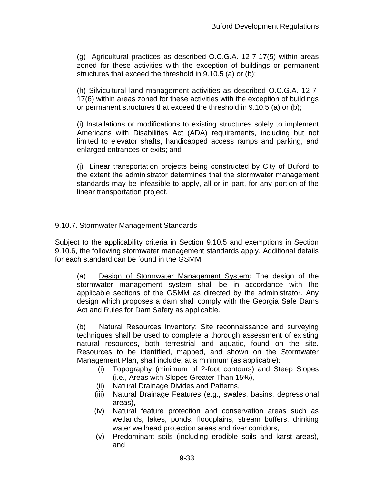(g) Agricultural practices as described O.C.G.A. 12-7-17(5) within areas zoned for these activities with the exception of buildings or permanent structures that exceed the threshold in 9.10.5 (a) or (b);

(h) Silvicultural land management activities as described O.C.G.A. 12-7- 17(6) within areas zoned for these activities with the exception of buildings or permanent structures that exceed the threshold in 9.10.5 (a) or (b);

(i) Installations or modifications to existing structures solely to implement Americans with Disabilities Act (ADA) requirements, including but not limited to elevator shafts, handicapped access ramps and parking, and enlarged entrances or exits; and

(j) Linear transportation projects being constructed by City of Buford to the extent the administrator determines that the stormwater management standards may be infeasible to apply, all or in part, for any portion of the linear transportation project.

## 9.10.7. Stormwater Management Standards

Subject to the applicability criteria in Section 9.10.5 and exemptions in Section 9.10.6, the following stormwater management standards apply. Additional details for each standard can be found in the GSMM:

(a) Design of Stormwater Management System: The design of the stormwater management system shall be in accordance with the applicable sections of the GSMM as directed by the administrator. Any design which proposes a dam shall comply with the Georgia Safe Dams Act and Rules for Dam Safety as applicable.

(b) Natural Resources Inventory: Site reconnaissance and surveying techniques shall be used to complete a thorough assessment of existing natural resources, both terrestrial and aquatic, found on the site. Resources to be identified, mapped, and shown on the Stormwater Management Plan, shall include, at a minimum (as applicable):

- (i) Topography (minimum of 2-foot contours) and Steep Slopes (i.e., Areas with Slopes Greater Than 15%),
- (ii) Natural Drainage Divides and Patterns,
- (iii) Natural Drainage Features (e.g., swales, basins, depressional areas),
- (iv) Natural feature protection and conservation areas such as wetlands, lakes, ponds, floodplains, stream buffers, drinking water wellhead protection areas and river corridors,
- (v) Predominant soils (including erodible soils and karst areas), and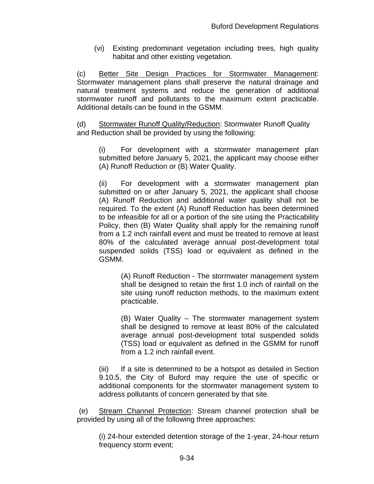(vi) Existing predominant vegetation including trees, high quality habitat and other existing vegetation.

(c) Better Site Design Practices for Stormwater Management: Stormwater management plans shall preserve the natural drainage and natural treatment systems and reduce the generation of additional stormwater runoff and pollutants to the maximum extent practicable. Additional details can be found in the GSMM.

(d) Stormwater Runoff Quality/Reduction: Stormwater Runoff Quality and Reduction shall be provided by using the following:

(i) For development with a stormwater management plan submitted before January 5, 2021, the applicant may choose either (A) Runoff Reduction or (B) Water Quality.

(ii) For development with a stormwater management plan submitted on or after January 5, 2021, the applicant shall choose (A) Runoff Reduction and additional water quality shall not be required. To the extent (A) Runoff Reduction has been determined to be infeasible for all or a portion of the site using the Practicability Policy, then (B) Water Quality shall apply for the remaining runoff from a 1.2 inch rainfall event and must be treated to remove at least 80% of the calculated average annual post-development total suspended solids (TSS) load or equivalent as defined in the GSMM.

(A) Runoff Reduction - The stormwater management system shall be designed to retain the first 1.0 inch of rainfall on the site using runoff reduction methods, to the maximum extent practicable.

(B) Water Quality – The stormwater management system shall be designed to remove at least 80% of the calculated average annual post-development total suspended solids (TSS) load or equivalent as defined in the GSMM for runoff from a 1.2 inch rainfall event.

(iii) If a site is determined to be a hotspot as detailed in Section 9.10.5, the City of Buford may require the use of specific or additional components for the stormwater management system to address pollutants of concern generated by that site.

(e) Stream Channel Protection: Stream channel protection shall be provided by using all of the following three approaches:

(i) 24-hour extended detention storage of the 1-year, 24-hour return frequency storm event;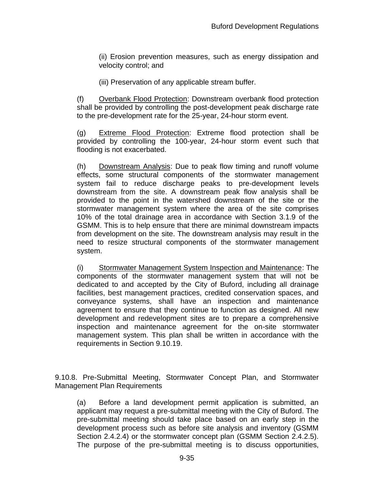(ii) Erosion prevention measures, such as energy dissipation and velocity control; and

(iii) Preservation of any applicable stream buffer.

(f) Overbank Flood Protection: Downstream overbank flood protection shall be provided by controlling the post-development peak discharge rate to the pre-development rate for the 25-year, 24-hour storm event.

(g) Extreme Flood Protection: Extreme flood protection shall be provided by controlling the 100-year, 24-hour storm event such that flooding is not exacerbated.

(h) Downstream Analysis: Due to peak flow timing and runoff volume effects, some structural components of the stormwater management system fail to reduce discharge peaks to pre-development levels downstream from the site. A downstream peak flow analysis shall be provided to the point in the watershed downstream of the site or the stormwater management system where the area of the site comprises 10% of the total drainage area in accordance with Section 3.1.9 of the GSMM. This is to help ensure that there are minimal downstream impacts from development on the site. The downstream analysis may result in the need to resize structural components of the stormwater management system.

(i) Stormwater Management System Inspection and Maintenance: The components of the stormwater management system that will not be dedicated to and accepted by the City of Buford, including all drainage facilities, best management practices, credited conservation spaces, and conveyance systems, shall have an inspection and maintenance agreement to ensure that they continue to function as designed. All new development and redevelopment sites are to prepare a comprehensive inspection and maintenance agreement for the on-site stormwater management system. This plan shall be written in accordance with the requirements in Section 9.10.19.

9.10.8. Pre-Submittal Meeting, Stormwater Concept Plan, and Stormwater Management Plan Requirements

(a) Before a land development permit application is submitted, an applicant may request a pre-submittal meeting with the City of Buford. The pre-submittal meeting should take place based on an early step in the development process such as before site analysis and inventory (GSMM Section 2.4.2.4) or the stormwater concept plan (GSMM Section 2.4.2.5). The purpose of the pre-submittal meeting is to discuss opportunities,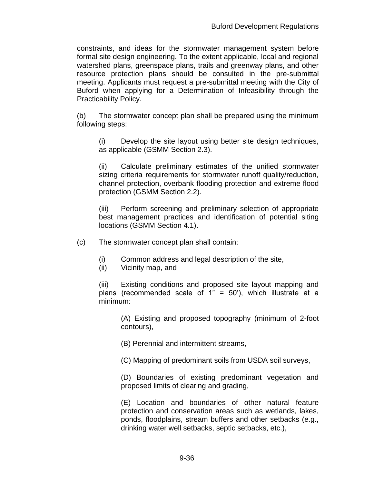constraints, and ideas for the stormwater management system before formal site design engineering. To the extent applicable, local and regional watershed plans, greenspace plans, trails and greenway plans, and other resource protection plans should be consulted in the pre-submittal meeting. Applicants must request a pre-submittal meeting with the City of Buford when applying for a Determination of Infeasibility through the Practicability Policy.

(b) The stormwater concept plan shall be prepared using the minimum following steps:

(i) Develop the site layout using better site design techniques, as applicable (GSMM Section 2.3).

(ii) Calculate preliminary estimates of the unified stormwater sizing criteria requirements for stormwater runoff quality/reduction, channel protection, overbank flooding protection and extreme flood protection (GSMM Section 2.2).

(iii) Perform screening and preliminary selection of appropriate best management practices and identification of potential siting locations (GSMM Section 4.1).

(c) The stormwater concept plan shall contain:

- (i) Common address and legal description of the site,
- (ii) Vicinity map, and

(iii) Existing conditions and proposed site layout mapping and plans (recommended scale of  $1" = 50'$ ), which illustrate at a minimum:

(A) Existing and proposed topography (minimum of 2-foot contours),

(B) Perennial and intermittent streams,

(C) Mapping of predominant soils from USDA soil surveys,

(D) Boundaries of existing predominant vegetation and proposed limits of clearing and grading,

(E) Location and boundaries of other natural feature protection and conservation areas such as wetlands, lakes, ponds, floodplains, stream buffers and other setbacks (e.g., drinking water well setbacks, septic setbacks, etc.),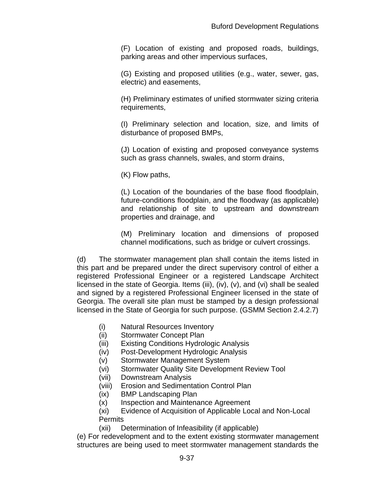(F) Location of existing and proposed roads, buildings, parking areas and other impervious surfaces,

(G) Existing and proposed utilities (e.g., water, sewer, gas, electric) and easements,

(H) Preliminary estimates of unified stormwater sizing criteria requirements,

(I) Preliminary selection and location, size, and limits of disturbance of proposed BMPs,

(J) Location of existing and proposed conveyance systems such as grass channels, swales, and storm drains,

(K) Flow paths,

(L) Location of the boundaries of the base flood floodplain, future-conditions floodplain, and the floodway (as applicable) and relationship of site to upstream and downstream properties and drainage, and

(M) Preliminary location and dimensions of proposed channel modifications, such as bridge or culvert crossings.

(d) The stormwater management plan shall contain the items listed in this part and be prepared under the direct supervisory control of either a registered Professional Engineer or a registered Landscape Architect licensed in the state of Georgia. Items (iii), (iv), (v), and (vi) shall be sealed and signed by a registered Professional Engineer licensed in the state of Georgia. The overall site plan must be stamped by a design professional licensed in the State of Georgia for such purpose. (GSMM Section 2.4.2.7)

- (i) Natural Resources Inventory
- (ii) Stormwater Concept Plan
- (iii) Existing Conditions Hydrologic Analysis
- (iv) Post-Development Hydrologic Analysis
- (v) Stormwater Management System
- (vi) Stormwater Quality Site Development Review Tool
- (vii) Downstream Analysis
- (viii) Erosion and Sedimentation Control Plan
- (ix) BMP Landscaping Plan
- (x) Inspection and Maintenance Agreement
- (xi) Evidence of Acquisition of Applicable Local and Non-Local **Permits**
- (xii) Determination of Infeasibility (if applicable)

(e) For redevelopment and to the extent existing stormwater management structures are being used to meet stormwater management standards the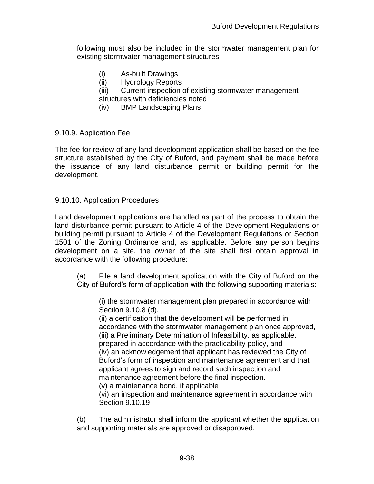following must also be included in the stormwater management plan for existing stormwater management structures

- (i) As-built Drawings
- (ii) Hydrology Reports
- (iii) Current inspection of existing stormwater management
- structures with deficiencies noted
- (iv) BMP Landscaping Plans

#### 9.10.9. Application Fee

The fee for review of any land development application shall be based on the fee structure established by the City of Buford, and payment shall be made before the issuance of any land disturbance permit or building permit for the development.

#### 9.10.10. Application Procedures

Land development applications are handled as part of the process to obtain the land disturbance permit pursuant to Article 4 of the Development Regulations or building permit pursuant to Article 4 of the Development Regulations or Section 1501 of the Zoning Ordinance and, as applicable. Before any person begins development on a site, the owner of the site shall first obtain approval in accordance with the following procedure:

(a) File a land development application with the City of Buford on the City of Buford's form of application with the following supporting materials:

(i) the stormwater management plan prepared in accordance with Section 9.10.8 (d),

(ii) a certification that the development will be performed in accordance with the stormwater management plan once approved, (iii) a Preliminary Determination of Infeasibility, as applicable, prepared in accordance with the practicability policy, and (iv) an acknowledgement that applicant has reviewed the City of Buford's form of inspection and maintenance agreement and that applicant agrees to sign and record such inspection and maintenance agreement before the final inspection. (v) a maintenance bond, if applicable (vi) an inspection and maintenance agreement in accordance with Section 9.10.19

(b) The administrator shall inform the applicant whether the application and supporting materials are approved or disapproved.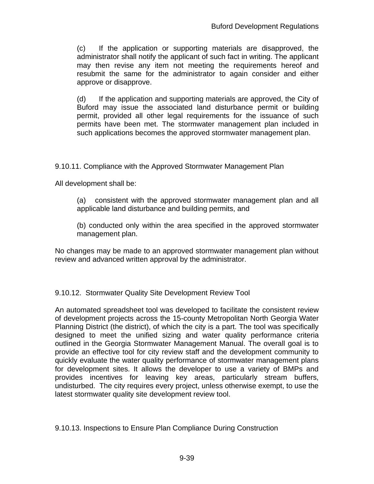(c) If the application or supporting materials are disapproved, the administrator shall notify the applicant of such fact in writing. The applicant may then revise any item not meeting the requirements hereof and resubmit the same for the administrator to again consider and either approve or disapprove.

(d) If the application and supporting materials are approved, the City of Buford may issue the associated land disturbance permit or building permit, provided all other legal requirements for the issuance of such permits have been met. The stormwater management plan included in such applications becomes the approved stormwater management plan.

9.10.11. Compliance with the Approved Stormwater Management Plan

All development shall be:

- (a) consistent with the approved stormwater management plan and all applicable land disturbance and building permits, and
- (b) conducted only within the area specified in the approved stormwater management plan.

No changes may be made to an approved stormwater management plan without review and advanced written approval by the administrator.

9.10.12. Stormwater Quality Site Development Review Tool

An automated spreadsheet tool was developed to facilitate the consistent review of development projects across the 15-county Metropolitan North Georgia Water Planning District (the district), of which the city is a part. The tool was specifically designed to meet the unified sizing and water quality performance criteria outlined in the Georgia Stormwater Management Manual. The overall goal is to provide an effective tool for city review staff and the development community to quickly evaluate the water quality performance of stormwater management plans for development sites. It allows the developer to use a variety of BMPs and provides incentives for leaving key areas, particularly stream buffers, undisturbed. The city requires every project, unless otherwise exempt, to use the latest stormwater quality site development review tool.

9.10.13. Inspections to Ensure Plan Compliance During Construction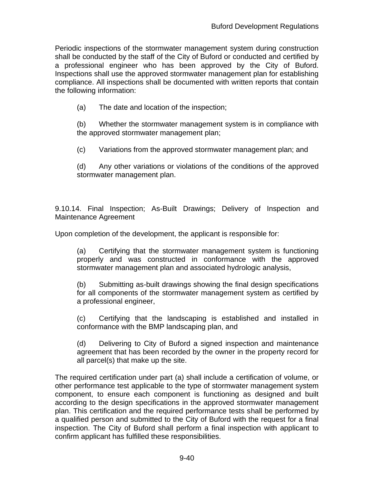Periodic inspections of the stormwater management system during construction shall be conducted by the staff of the City of Buford or conducted and certified by a professional engineer who has been approved by the City of Buford. Inspections shall use the approved stormwater management plan for establishing compliance. All inspections shall be documented with written reports that contain the following information:

(a) The date and location of the inspection;

(b) Whether the stormwater management system is in compliance with the approved stormwater management plan;

(c) Variations from the approved stormwater management plan; and

(d) Any other variations or violations of the conditions of the approved stormwater management plan.

9.10.14. Final Inspection; As-Built Drawings; Delivery of Inspection and Maintenance Agreement

Upon completion of the development, the applicant is responsible for:

(a) Certifying that the stormwater management system is functioning properly and was constructed in conformance with the approved stormwater management plan and associated hydrologic analysis,

(b) Submitting as-built drawings showing the final design specifications for all components of the stormwater management system as certified by a professional engineer,

(c) Certifying that the landscaping is established and installed in conformance with the BMP landscaping plan, and

(d) Delivering to City of Buford a signed inspection and maintenance agreement that has been recorded by the owner in the property record for all parcel(s) that make up the site.

The required certification under part (a) shall include a certification of volume, or other performance test applicable to the type of stormwater management system component, to ensure each component is functioning as designed and built according to the design specifications in the approved stormwater management plan. This certification and the required performance tests shall be performed by a qualified person and submitted to the City of Buford with the request for a final inspection. The City of Buford shall perform a final inspection with applicant to confirm applicant has fulfilled these responsibilities.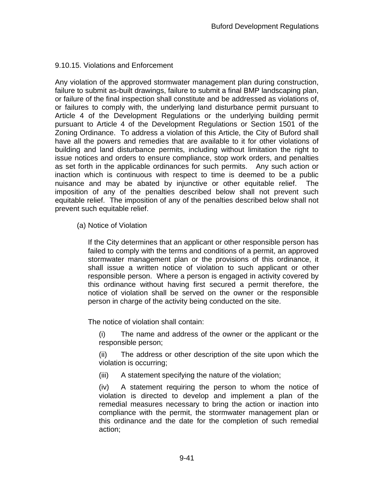# 9.10.15. Violations and Enforcement

Any violation of the approved stormwater management plan during construction, failure to submit as-built drawings, failure to submit a final BMP landscaping plan, or failure of the final inspection shall constitute and be addressed as violations of, or failures to comply with, the underlying land disturbance permit pursuant to Article 4 of the Development Regulations or the underlying building permit pursuant to Article 4 of the Development Regulations or Section 1501 of the Zoning Ordinance. To address a violation of this Article, the City of Buford shall have all the powers and remedies that are available to it for other violations of building and land disturbance permits, including without limitation the right to issue notices and orders to ensure compliance, stop work orders, and penalties as set forth in the applicable ordinances for such permits. Any such action or inaction which is continuous with respect to time is deemed to be a public nuisance and may be abated by injunctive or other equitable relief. The imposition of any of the penalties described below shall not prevent such equitable relief. The imposition of any of the penalties described below shall not prevent such equitable relief.

(a) Notice of Violation

If the City determines that an applicant or other responsible person has failed to comply with the terms and conditions of a permit, an approved stormwater management plan or the provisions of this ordinance, it shall issue a written notice of violation to such applicant or other responsible person. Where a person is engaged in activity covered by this ordinance without having first secured a permit therefore, the notice of violation shall be served on the owner or the responsible person in charge of the activity being conducted on the site.

The notice of violation shall contain:

(i) The name and address of the owner or the applicant or the responsible person;

(ii) The address or other description of the site upon which the violation is occurring;

(iii) A statement specifying the nature of the violation;

(iv) A statement requiring the person to whom the notice of violation is directed to develop and implement a plan of the remedial measures necessary to bring the action or inaction into compliance with the permit, the stormwater management plan or this ordinance and the date for the completion of such remedial action;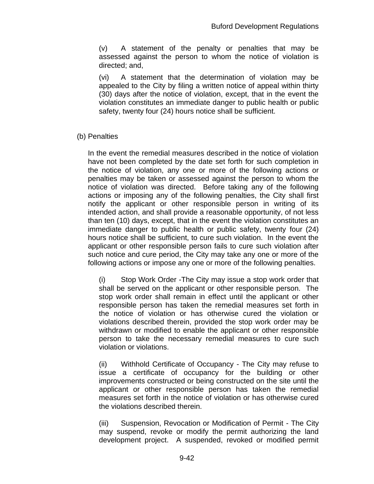(v) A statement of the penalty or penalties that may be assessed against the person to whom the notice of violation is directed; and,

(vi) A statement that the determination of violation may be appealed to the City by filing a written notice of appeal within thirty (30) days after the notice of violation, except, that in the event the violation constitutes an immediate danger to public health or public safety, twenty four (24) hours notice shall be sufficient.

### (b) Penalties

In the event the remedial measures described in the notice of violation have not been completed by the date set forth for such completion in the notice of violation, any one or more of the following actions or penalties may be taken or assessed against the person to whom the notice of violation was directed. Before taking any of the following actions or imposing any of the following penalties, the City shall first notify the applicant or other responsible person in writing of its intended action, and shall provide a reasonable opportunity, of not less than ten (10) days, except, that in the event the violation constitutes an immediate danger to public health or public safety, twenty four (24) hours notice shall be sufficient, to cure such violation. In the event the applicant or other responsible person fails to cure such violation after such notice and cure period, the City may take any one or more of the following actions or impose any one or more of the following penalties.

(i) Stop Work Order -The City may issue a stop work order that shall be served on the applicant or other responsible person. The stop work order shall remain in effect until the applicant or other responsible person has taken the remedial measures set forth in the notice of violation or has otherwise cured the violation or violations described therein, provided the stop work order may be withdrawn or modified to enable the applicant or other responsible person to take the necessary remedial measures to cure such violation or violations.

(ii) Withhold Certificate of Occupancy - The City may refuse to issue a certificate of occupancy for the building or other improvements constructed or being constructed on the site until the applicant or other responsible person has taken the remedial measures set forth in the notice of violation or has otherwise cured the violations described therein.

(iii) Suspension, Revocation or Modification of Permit - The City may suspend, revoke or modify the permit authorizing the land development project. A suspended, revoked or modified permit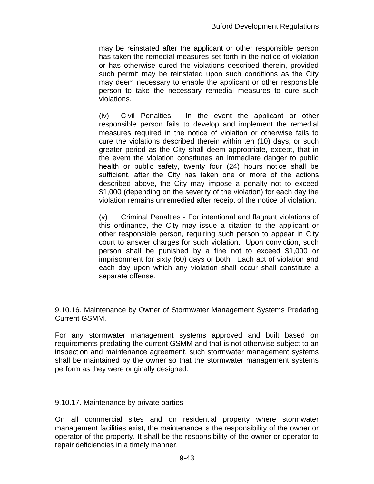may be reinstated after the applicant or other responsible person has taken the remedial measures set forth in the notice of violation or has otherwise cured the violations described therein, provided such permit may be reinstated upon such conditions as the City may deem necessary to enable the applicant or other responsible person to take the necessary remedial measures to cure such violations.

(iv) Civil Penalties - In the event the applicant or other responsible person fails to develop and implement the remedial measures required in the notice of violation or otherwise fails to cure the violations described therein within ten (10) days, or such greater period as the City shall deem appropriate, except, that in the event the violation constitutes an immediate danger to public health or public safety, twenty four (24) hours notice shall be sufficient, after the City has taken one or more of the actions described above, the City may impose a penalty not to exceed \$1,000 (depending on the severity of the violation) for each day the violation remains unremedied after receipt of the notice of violation.

(v) Criminal Penalties - For intentional and flagrant violations of this ordinance, the City may issue a citation to the applicant or other responsible person, requiring such person to appear in City court to answer charges for such violation. Upon conviction, such person shall be punished by a fine not to exceed \$1,000 or imprisonment for sixty (60) days or both. Each act of violation and each day upon which any violation shall occur shall constitute a separate offense.

9.10.16. Maintenance by Owner of Stormwater Management Systems Predating Current GSMM.

For any stormwater management systems approved and built based on requirements predating the current GSMM and that is not otherwise subject to an inspection and maintenance agreement, such stormwater management systems shall be maintained by the owner so that the stormwater management systems perform as they were originally designed.

9.10.17. Maintenance by private parties

On all commercial sites and on residential property where stormwater management facilities exist, the maintenance is the responsibility of the owner or operator of the property. It shall be the responsibility of the owner or operator to repair deficiencies in a timely manner.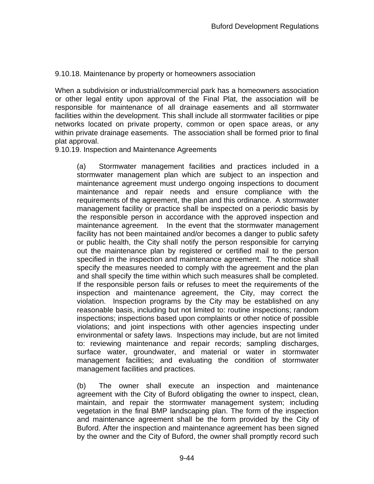## 9.10.18. Maintenance by property or homeowners association

When a subdivision or industrial/commercial park has a homeowners association or other legal entity upon approval of the Final Plat, the association will be responsible for maintenance of all drainage easements and all stormwater facilities within the development. This shall include all stormwater facilities or pipe networks located on private property, common or open space areas, or any within private drainage easements. The association shall be formed prior to final plat approval.

### 9.10.19. Inspection and Maintenance Agreements

(a) Stormwater management facilities and practices included in a stormwater management plan which are subject to an inspection and maintenance agreement must undergo ongoing inspections to document maintenance and repair needs and ensure compliance with the requirements of the agreement, the plan and this ordinance. A stormwater management facility or practice shall be inspected on a periodic basis by the responsible person in accordance with the approved inspection and maintenance agreement. In the event that the stormwater management facility has not been maintained and/or becomes a danger to public safety or public health, the City shall notify the person responsible for carrying out the maintenance plan by registered or certified mail to the person specified in the inspection and maintenance agreement. The notice shall specify the measures needed to comply with the agreement and the plan and shall specify the time within which such measures shall be completed. If the responsible person fails or refuses to meet the requirements of the inspection and maintenance agreement, the City, may correct the violation. Inspection programs by the City may be established on any reasonable basis, including but not limited to: routine inspections; random inspections; inspections based upon complaints or other notice of possible violations; and joint inspections with other agencies inspecting under environmental or safety laws. Inspections may include, but are not limited to: reviewing maintenance and repair records; sampling discharges, surface water, groundwater, and material or water in stormwater management facilities; and evaluating the condition of stormwater management facilities and practices.

(b) The owner shall execute an inspection and maintenance agreement with the City of Buford obligating the owner to inspect, clean, maintain, and repair the stormwater management system; including vegetation in the final BMP landscaping plan. The form of the inspection and maintenance agreement shall be the form provided by the City of Buford. After the inspection and maintenance agreement has been signed by the owner and the City of Buford, the owner shall promptly record such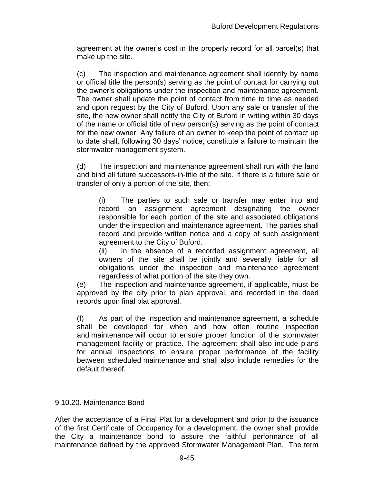agreement at the owner's cost in the property record for all parcel(s) that make up the site.

(c) The inspection and maintenance agreement shall identify by name or official title the person(s) serving as the point of contact for carrying out the owner's obligations under the inspection and maintenance agreement. The owner shall update the point of contact from time to time as needed and upon request by the City of Buford. Upon any sale or transfer of the site, the new owner shall notify the City of Buford in writing within 30 days of the name or official title of new person(s) serving as the point of contact for the new owner. Any failure of an owner to keep the point of contact up to date shall, following 30 days' notice, constitute a failure to maintain the stormwater management system.

(d) The inspection and maintenance agreement shall run with the land and bind all future successors-in-title of the site. If there is a future sale or transfer of only a portion of the site, then:

(i) The parties to such sale or transfer may enter into and record an assignment agreement designating the owner responsible for each portion of the site and associated obligations under the inspection and maintenance agreement. The parties shall record and provide written notice and a copy of such assignment agreement to the City of Buford.

(ii) In the absence of a recorded assignment agreement, all owners of the site shall be jointly and severally liable for all obligations under the inspection and maintenance agreement regardless of what portion of the site they own.

(e) The inspection and maintenance agreement, if applicable, must be approved by the city prior to plan approval, and recorded in the deed records upon final plat approval.

(f) As part of the inspection and maintenance agreement, a schedule shall be developed for when and how often routine inspection and maintenance will occur to ensure proper function of the stormwater management facility or practice. The agreement shall also include plans for annual inspections to ensure proper performance of the facility between scheduled maintenance and shall also include remedies for the default thereof.

### 9.10.20. Maintenance Bond

After the acceptance of a Final Plat for a development and prior to the issuance of the first Certificate of Occupancy for a development, the owner shall provide the City a maintenance bond to assure the faithful performance of all maintenance defined by the approved Stormwater Management Plan. The term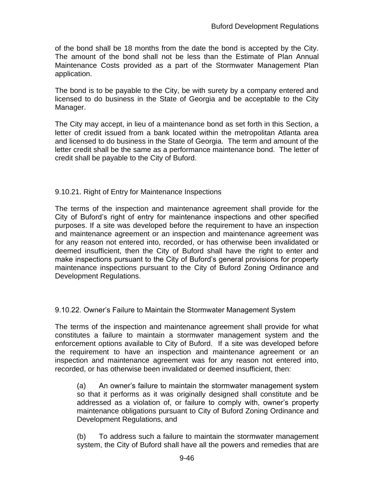of the bond shall be 18 months from the date the bond is accepted by the City. The amount of the bond shall not be less than the Estimate of Plan Annual Maintenance Costs provided as a part of the Stormwater Management Plan application.

The bond is to be payable to the City, be with surety by a company entered and licensed to do business in the State of Georgia and be acceptable to the City Manager.

The City may accept, in lieu of a maintenance bond as set forth in this Section, a letter of credit issued from a bank located within the metropolitan Atlanta area and licensed to do business in the State of Georgia. The term and amount of the letter credit shall be the same as a performance maintenance bond. The letter of credit shall be payable to the City of Buford.

### 9.10.21. Right of Entry for Maintenance Inspections

The terms of the inspection and maintenance agreement shall provide for the City of Buford's right of entry for maintenance inspections and other specified purposes. If a site was developed before the requirement to have an inspection and maintenance agreement or an inspection and maintenance agreement was for any reason not entered into, recorded, or has otherwise been invalidated or deemed insufficient, then the City of Buford shall have the right to enter and make inspections pursuant to the City of Buford's general provisions for property maintenance inspections pursuant to the City of Buford Zoning Ordinance and Development Regulations.

### 9.10.22. Owner's Failure to Maintain the Stormwater Management System

The terms of the inspection and maintenance agreement shall provide for what constitutes a failure to maintain a stormwater management system and the enforcement options available to City of Buford. If a site was developed before the requirement to have an inspection and maintenance agreement or an inspection and maintenance agreement was for any reason not entered into, recorded, or has otherwise been invalidated or deemed insufficient, then:

(a) An owner's failure to maintain the stormwater management system so that it performs as it was originally designed shall constitute and be addressed as a violation of, or failure to comply with, owner's property maintenance obligations pursuant to City of Buford Zoning Ordinance and Development Regulations, and

(b) To address such a failure to maintain the stormwater management system, the City of Buford shall have all the powers and remedies that are